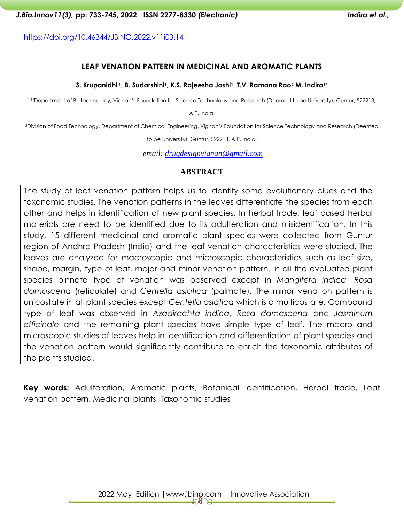<https://doi.org/10.46344/JBINO.2022.v11i03.14>

## **LEAF VENATION PATTERN IN MEDICINAL AND AROMATIC PLANTS**

#### **S. Krupanidhi <sup>1</sup>, B. Sudarshini1, K.S. Rajeesha Joshi1, T.V. Ramana Rao<sup>2</sup> M. Indira1\***

1,1\*Department of Biotechnology, Vignan's Foundation for Science Technology and Research (Deemed to be University), Guntur, 522213,

A.P, India.

<sup>2</sup>Division of Food Technology, Department of Chemical Engineering, Vignan's Foundation for Science Technology and Research (Deemed

to be University), Guntur, 522213, A.P, India.

*email: [drugdesignvignan@gmail.com](mailto:drugdesignvignan@gmail.com)*

## **ABSTRACT**

The study of leaf venation pattern helps us to identify some evolutionary clues and the taxonomic studies. The venation patterns in the leaves differentiate the species from each other and helps in identification of new plant species. In herbal trade, leaf based herbal materials are need to be identified due to its adulteration and misidentification. In this study, 15 different medicinal and aromatic plant species were collected from Guntur region of Andhra Pradesh (India) and the leaf venation characteristics were studied. The leaves are analyzed for macroscopic and microscopic characteristics such as leaf size, shape, margin, type of leaf, major and minor venation pattern. In all the evaluated plant species pinnate type of venation was observed except in *Mangifera indica, Rosa damascena* (reticulate) and *Centella asiatica* (palmate). The minor venation pattern is unicostate in all plant species except *Centella asiatica* which is a multicostate. Compound type of leaf was observed in *Azadirachta indica*, *Rosa damascena* and *Jasminum officinale* and the remaining plant species have simple type of leaf. The macro and microscopic studies of leaves help in identification and differentiation of plant species and the venation pattern would significantly contribute to enrich the taxonomic attributes of the plants studied.

**Key words:** Adulteration, Aromatic plants, Botanical identification, Herbal trade, Leaf venation pattern, Medicinal plants, Taxonomic studies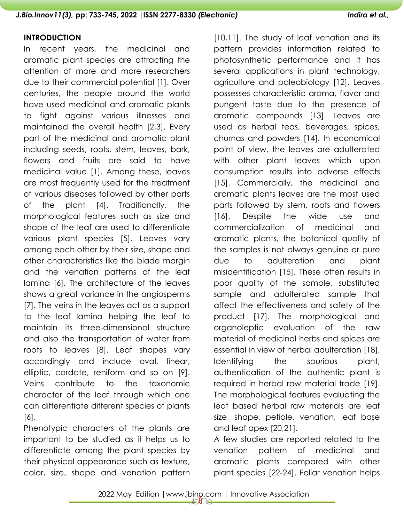## **INTRODUCTION**

In recent years, the medicinal and aromatic plant species are attracting the attention of more and more researchers due to their commercial potential [1]. Over centuries, the people around the world have used medicinal and aromatic plants to fight against various illnesses and maintained the overall health [2,3]. Every part of the medicinal and aromatic plant including seeds, roots, stem, leaves, bark, flowers and fruits are said to have medicinal value [1]. Among these, leaves are most frequently used for the treatment of various diseases followed by other parts of the plant [4]. Traditionally, the morphological features such as size and shape of the leaf are used to differentiate various plant species [5]. Leaves vary among each other by their size, shape and other characteristics like the blade margin and the venation patterns of the leaf lamina [6]. The architecture of the leaves shows a great variance in the angiosperms [7]. The veins in the leaves act as a support to the leaf lamina helping the leaf to maintain its three-dimensional structure and also the transportation of water from roots to leaves [8]. Leaf shapes vary accordingly and include oval, linear, elliptic, cordate, reniform and so on [9]. Veins contribute to the taxonomic character of the leaf through which one can differentiate different species of plants [6].

Phenotypic characters of the plants are important to be studied as it helps us to differentiate among the plant species by their physical appearance such as texture, color, size, shape and venation pattern

[10,11]. The study of leaf venation and its pattern provides information related to photosynthetic performance and it has several applications in plant technology, agriculture and paleobiology [12]. Leaves possesses characteristic aroma, flavor and pungent taste due to the presence of aromatic compounds [13]. Leaves are used as herbal teas, beverages, spices, churnas and powders [14]. In economical point of view, the leaves are adulterated with other plant leaves which upon consumption results into adverse effects [15]. Commercially, the medicinal and aromatic plants leaves are the most used parts followed by stem, roots and flowers [16]. Despite the wide use and commercialization of medicinal and aromatic plants, the botanical quality of the samples is not always genuine or pure due to adulteration and plant misidentification [15]. These often results in poor quality of the sample, substituted sample and adulterated sample that affect the effectiveness and safety of the product [17]. The morphological and organoleptic evaluation of the raw material of medicinal herbs and spices are essential in view of herbal adulteration [18]. Identifying the spurious plant, authentication of the authentic plant is required in herbal raw material trade [19]. The morphological features evaluating the leaf based herbal raw materials are leaf size, shape, petiole, venation, leaf base and leaf apex [20,21].

A few studies are reported related to the venation pattern of medicinal and aromatic plants compared with other plant species [22-24]. Foliar venation helps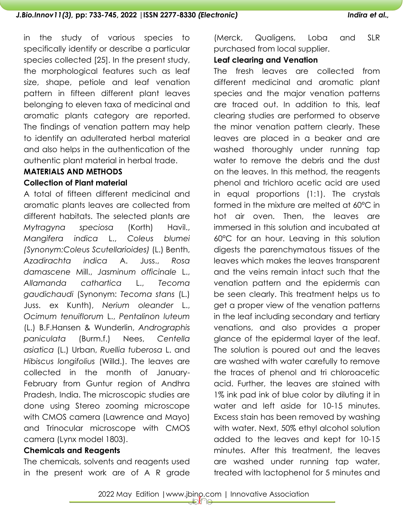in the study of various species to specifically identify or describe a particular species collected [25]. In the present study, the morphological features such as leaf size, shape, petiole and leaf venation pattern in fifteen different plant leaves belonging to eleven taxa of medicinal and aromatic plants category are reported. The findings of venation pattern may help to identify an adulterated herbal material and also helps in the authentication of the authentic plant material in herbal trade.

# **MATERIALS AND METHODS Collection of Plant material**

A total of fifteen different medicinal and aromatic plants leaves are collected from different habitats. The selected plants are *Mytragyna speciosa* (Korth) Havil., *Mangifera indica* L., *Coleus blumei (Synonym:Coleus Scutellarioides)* (L.) Benth, *Azadirachta indica* A. Juss., *Rosa damascene* Mill., *Jasminum officinale* L., *Allamanda cathartica* L., *Tecoma gaudichaudi* (Synonym: *Tecoma stans* (L.) Juss. ex Kunth), *Nerium oleander* L., *Ocimum tenuiflorum* L., *Pentalinon luteum* (L.) B.F.Hansen & Wunderlin, *Andrographis paniculata* (Burm.f.) Nees, *Centella asiatica* (L.) Urban, *Ruellia tuberosa* L. and *Hibiscus longifolius* (Willd.). The leaves are collected in the month of January-February from Guntur region of Andhra Pradesh, India. The microscopic studies are done using Stereo zooming microscope with CMOS camera (Lawrence and Mayo) and Trinocular microscope with CMOS camera (Lynx model 1803).

## **Chemicals and Reagents**

The chemicals, solvents and reagents used in the present work are of A R grade (Merck, Qualigens, Loba and SLR purchased from local supplier.

# **Leaf clearing and Venation**

The fresh leaves are collected from different medicinal and aromatic plant species and the major venation patterns are traced out. In addition to this, leaf clearing studies are performed to observe the minor venation pattern clearly. These leaves are placed in a beaker and are washed thoroughly under running tap water to remove the debris and the dust on the leaves. In this method, the reagents phenol and trichloro acetic acid are used in equal proportions (1:1). The crystals formed in the mixture are melted at 60°C in hot air oven. Then, the leaves are immersed in this solution and incubated at 60°C for an hour. Leaving in this solution digests the parenchymatous tissues of the leaves which makes the leaves transparent and the veins remain intact such that the venation pattern and the epidermis can be seen clearly. This treatment helps us to get a proper view of the venation patterns in the leaf including secondary and tertiary venations, and also provides a proper glance of the epidermal layer of the leaf. The solution is poured out and the leaves are washed with water carefully to remove the traces of phenol and tri chloroacetic acid. Further, the leaves are stained with 1% ink pad ink of blue color by diluting it in water and left aside for 10-15 minutes. Excess stain has been removed by washing with water. Next, 50% ethyl alcohol solution added to the leaves and kept for 10-15 minutes. After this treatment, the leaves are washed under running tap water, treated with lactophenol for 5 minutes and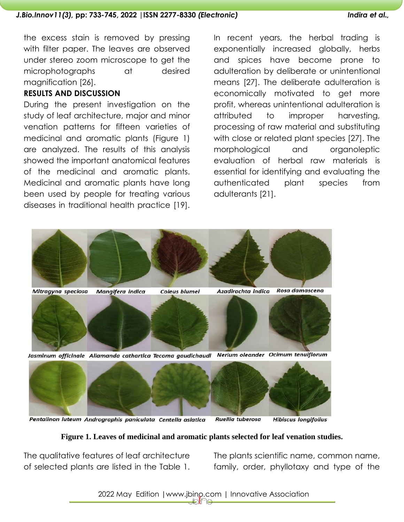the excess stain is removed by pressing with filter paper. The leaves are observed under stereo zoom microscope to get the microphotographs at desired magnification [26].

## **RESULTS AND DISCUSSION**

During the present investigation on the study of leaf architecture, major and minor venation patterns for fifteen varieties of medicinal and aromatic plants (Figure 1) are analyzed. The results of this analysis showed the important anatomical features of the medicinal and aromatic plants. Medicinal and aromatic plants have long been used by people for treating various diseases in traditional health practice [19].

In recent years, the herbal trading is exponentially increased globally, herbs and spices have become prone to adulteration by deliberate or unintentional means [27]. The deliberate adulteration is economically motivated to get more profit, whereas unintentional adulteration is attributed to improper harvesting, processing of raw material and substituting with close or related plant species [27]. The morphological and organoleptic evaluation of herbal raw materials is essential for identifying and evaluating the authenticated plant species from adulterants [21].



Pentalinon luteum Andrographis paniculata Centella asiatica Ruellia tuberosa **Hibiscus longifolius** 

## **Figure 1. Leaves of medicinal and aromatic plants selected for leaf venation studies.**

The qualitative features of leaf architecture of selected plants are listed in the Table 1.

The plants scientific name, common name, family, order, phyllotaxy and type of the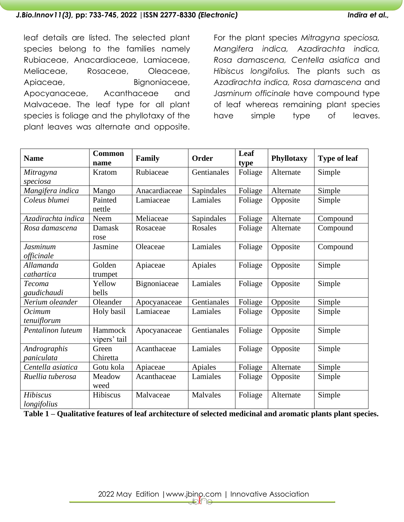# leaf details are listed. The selected plant species belong to the families namely Rubiaceae, Anacardiaceae, Lamiaceae, Meliaceae, Rosaceae, Oleaceae, Apiaceae, Bignoniaceae, Apocyanaceae, Acanthaceae and Malvaceae. The leaf type for all plant species is foliage and the phyllotaxy of the plant leaves was alternate and opposite.

For the plant species *Mitragyna speciosa, Mangifera indica, Azadirachta indica, Rosa damascena, Centella asiatica* and *Hibiscus longifolius.* The plants such as *Azadirachta indica, Rosa damascena* and *Jasminum officinale* have compound type of leaf whereas remaining plant species have simple type of leaves.

| <b>Name</b>                    | <b>Common</b><br>name   | Family        | Order          | Leaf<br>type | <b>Phyllotaxy</b> | <b>Type of leaf</b> |
|--------------------------------|-------------------------|---------------|----------------|--------------|-------------------|---------------------|
| Mitragyna                      | Kratom                  | Rubiaceae     | Gentianales    | Foliage      | Alternate         | Simple              |
| speciosa                       |                         |               |                |              |                   |                     |
| Mangifera indica               | Mango                   | Anacardiaceae | Sapindales     | Foliage      | Alternate         | Simple              |
| Coleus blumei                  | Painted<br>nettle       | Lamiaceae     | Lamiales       | Foliage      | Opposite          | Simple              |
| Azadirachta indica             | Neem                    | Meliaceae     | Sapindales     | Foliage      | Alternate         | Compound            |
| Rosa damascena                 | Damask<br>rose          | Rosaceae      | <b>Rosales</b> | Foliage      | Alternate         | Compound            |
| Jasminum<br>officinale         | Jasmine                 | Oleaceae      | Lamiales       | Foliage      | Opposite          | Compound            |
| Allamanda<br>cathartica        | Golden<br>trumpet       | Apiaceae      | Apiales        | Foliage      | Opposite          | Simple              |
| <b>Tecoma</b><br>gaudichaudi   | Yellow<br>bells         | Bignoniaceae  | Lamiales       | Foliage      | Opposite          | Simple              |
| Nerium oleander                | Oleander                | Apocyanaceae  | Gentianales    | Foliage      | Opposite          | Simple              |
| Ocimum<br>tenuiflorum          | Holy basil              | Lamiaceae     | Lamiales       | Foliage      | Opposite          | Simple              |
| Pentalinon luteum              | Hammock<br>vipers' tail | Apocyanaceae  | Gentianales    | Foliage      | Opposite          | Simple              |
| Andrographis<br>paniculata     | Green<br>Chiretta       | Acanthaceae   | Lamiales       | Foliage      | Opposite          | Simple              |
| Centella asiatica              | Gotu kola               | Apiaceae      | Apiales        | Foliage      | Alternate         | Simple              |
| Ruellia tuberosa               | Meadow<br>weed          | Acanthaceae   | Lamiales       | Foliage      | Opposite          | Simple              |
| <b>Hibiscus</b><br>longifolius | Hibiscus                | Malvaceae     | Malvales       | Foliage      | Alternate         | Simple              |

**Table 1 – Qualitative features of leaf architecture of selected medicinal and aromatic plants plant species.**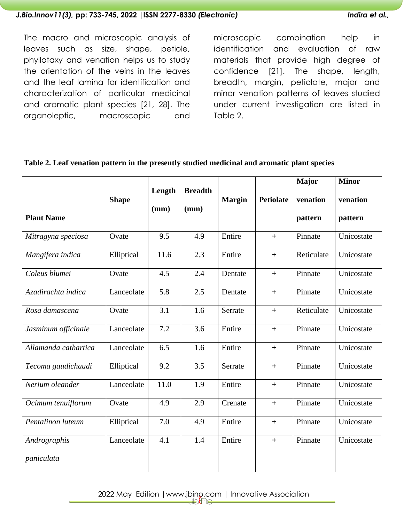The macro and microscopic analysis of leaves such as size, shape, petiole, phyllotaxy and venation helps us to study the orientation of the veins in the leaves and the leaf lamina for identification and characterization of particular medicinal and aromatic plant species [21, 28]. The organoleptic, macroscopic and

microscopic combination help in identification and evaluation of raw materials that provide high degree of confidence [21]. The shape, length, breadth, margin, petiolate, major and minor venation patterns of leaves studied under current investigation are listed in Table 2.

| Table 2. Leaf venation pattern in the presently studied medicinal and aromatic plant species |  |  |
|----------------------------------------------------------------------------------------------|--|--|
|----------------------------------------------------------------------------------------------|--|--|

|                            |              | Length | <b>Breadth</b> |               |                  | <b>Major</b>        | <b>Minor</b>        |
|----------------------------|--------------|--------|----------------|---------------|------------------|---------------------|---------------------|
| <b>Plant Name</b>          | <b>Shape</b> | (mm)   | (mm)           | <b>Margin</b> | <b>Petiolate</b> | venation<br>pattern | venation<br>pattern |
| Mitragyna speciosa         | Ovate        | 9.5    | 4.9            | Entire        | $+$              | Pinnate             | Unicostate          |
| Mangifera indica           | Elliptical   | 11.6   | 2.3            | Entire        | $+$              | Reticulate          | Unicostate          |
| Coleus blumei              | Ovate        | 4.5    | 2.4            | Dentate       | $+$              | Pinnate             | Unicostate          |
| Azadirachta indica         | Lanceolate   | 5.8    | 2.5            | Dentate       | $+$              | Pinnate             | Unicostate          |
| Rosa damascena             | Ovate        | 3.1    | 1.6            | Serrate       | $+$              | Reticulate          | Unicostate          |
| Jasminum officinale        | Lanceolate   | 7.2    | 3.6            | Entire        | $+$              | Pinnate             | Unicostate          |
| Allamanda cathartica       | Lanceolate   | 6.5    | 1.6            | Entire        | $+$              | Pinnate             | Unicostate          |
| Tecoma gaudichaudi         | Elliptical   | 9.2    | 3.5            | Serrate       | $+$              | Pinnate             | Unicostate          |
| Nerium oleander            | Lanceolate   | 11.0   | 1.9            | Entire        | $+$              | Pinnate             | Unicostate          |
| Ocimum tenuiflorum         | Ovate        | 4.9    | 2.9            | Crenate       | $+$              | Pinnate             | Unicostate          |
| Pentalinon luteum          | Elliptical   | 7.0    | 4.9            | Entire        | $+$              | Pinnate             | Unicostate          |
| Andrographis<br>paniculata | Lanceolate   | 4.1    | 1.4            | Entire        | $+$              | Pinnate             | Unicostate          |

2022 May Edition | www.jbino.com | Innovative Association<br>  $\bigcirc$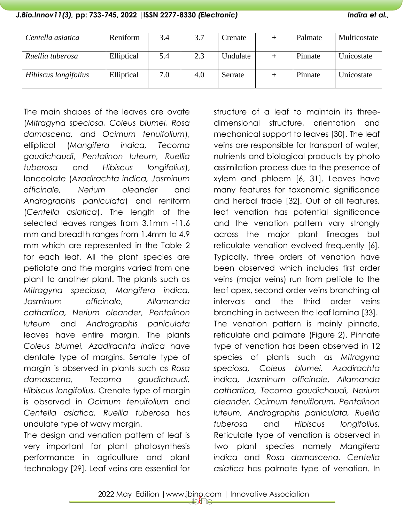| Centella asiatica    | Reniform   | 3.4 | 3.7 | Crenate  | Palmate | Multicostate |
|----------------------|------------|-----|-----|----------|---------|--------------|
| Ruellia tuberosa     | Elliptical | 5.4 | 2.3 | Undulate | Pinnate | Unicostate   |
| Hibiscus longifolius | Elliptical | 7.0 | 4.0 | Serrate  | Pinnate | Unicostate   |

The main shapes of the leaves are ovate (*Mitragyna speciosa, Coleus blumei, Rosa damascena,* and *Ocimum tenuifolium*), elliptical (*Mangifera indica, Tecoma gaudichaudi*, *Pentalinon luteum, Ruellia tuberosa* and *Hibiscus longifolius*), lanceolate (*Azadirachta indica, Jasminum officinale, Nerium oleander* and *Andrographis paniculata*) and reniform (*Centella asiatica*). The length of the selected leaves ranges from 3.1mm -11.6 mm and breadth ranges from 1.4mm to 4.9 mm which are represented in the Table 2 for each leaf. All the plant species are petiolate and the margins varied from one plant to another plant. The plants such as *Mitragyna speciosa, Mangifera indica, Jasminum officinale, Allamanda cathartica, Nerium oleander, Pentalinon luteum* and *Andrographis paniculata* leaves have entire margin. The plants *Coleus blumei, Azadirachta indica* have dentate type of margins. Serrate type of margin is observed in plants such as *Rosa damascena, Tecoma gaudichaudi, Hibiscus longifolius.* Crenate type of margin is observed in *Ocimum tenuifolium* and *Centella asiatica. Ruellia tuberosa* has undulate type of wavy margin.

The design and venation pattern of leaf is very important for plant photosynthesis performance in agriculture and plant technology [29]. Leaf veins are essential for

structure of a leaf to maintain its threedimensional structure, orientation and mechanical support to leaves [30]. The leaf veins are responsible for transport of water, nutrients and biological products by photo assimilation process due to the presence of xylem and phloem [6, 31]. Leaves have many features for taxonomic significance and herbal trade [32]. Out of all features, leaf venation has potential significance and the venation pattern vary strongly across the major plant lineages but reticulate venation evolved frequently [6]. Typically, three orders of venation have been observed which includes first order veins (major veins) run from petiole to the leaf apex, second order veins branching at intervals and the third order veins branching in between the leaf lamina [33]. The venation pattern is mainly pinnate, reticulate and palmate (Figure 2). Pinnate type of venation has been observed in 12 species of plants such as *Mitragyna speciosa, Coleus blumei, Azadirachta indica, Jasminum officinale, Allamanda cathartica, Tecoma gaudichaudi, Nerium oleander, Ocimum tenuiflorum, Pentalinon luteum, Andrographis paniculata, Ruellia tuberosa* and *Hibiscus longifolius.*  Reticulate type of venation is observed in two plant species namely *Mangifera indica* and *Rosa damascena. Centella asiatica* has palmate type of venation. In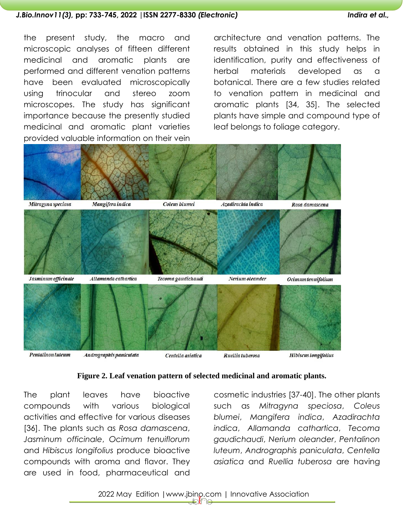the present study, the macro and microscopic analyses of fifteen different medicinal and aromatic plants are performed and different venation patterns have been evaluated microscopically using trinocular and stereo zoom microscopes. The study has significant importance because the presently studied medicinal and aromatic plant varieties provided valuable information on their vein

architecture and venation patterns. The results obtained in this study helps in identification, purity and effectiveness of herbal materials developed as a botanical. There are a few studies related to venation pattern in medicinal and aromatic plants [34, 35]. The selected plants have simple and compound type of leaf belongs to foliage category.



#### **Figure 2. Leaf venation pattern of selected medicinal and aromatic plants.**

The plant leaves have bioactive compounds with various biological activities and effective for various diseases [36]. The plants such as *Rosa damascena*, *Jasminum officinale*, *Ocimum tenuiflorum* and *Hibiscus longifolius* produce bioactive compounds with aroma and flavor. They are used in food, pharmaceutical and

cosmetic industries [37-40]. The other plants such as *Mitragyna speciosa*, *Coleus blumei*, *Mangifera indica*, *Azadirachta indica*, *Allamanda cathartica*, *Tecoma gaudichaudi*, *Nerium oleander*, *Pentalinon luteum*, *Andrographis paniculata*, *Centella asiatica* and *Ruellia tuberosa* are having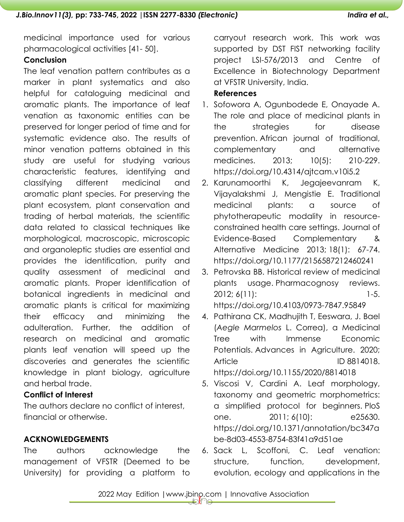medicinal importance used for various pharmacological activities [41- 50].

## **Conclusion**

The leaf venation pattern contributes as a marker in plant systematics and also helpful for cataloguing medicinal and aromatic plants. The importance of leaf venation as taxonomic entities can be preserved for longer period of time and for systematic evidence also. The results of minor venation patterns obtained in this study are useful for studying various characteristic features, identifying and classifying different medicinal and aromatic plant species. For preserving the plant ecosystem, plant conservation and trading of herbal materials, the scientific data related to classical techniques like morphological, macroscopic, microscopic and organoleptic studies are essential and provides the identification, purity and quality assessment of medicinal and aromatic plants. Proper identification of botanical ingredients in medicinal and aromatic plants is critical for maximizing their efficacy and minimizing the adulteration. Further, the addition of research on medicinal and aromatic plants leaf venation will speed up the discoveries and generates the scientific knowledge in plant biology, agriculture and herbal trade.

# **Conflict of Interest**

The authors declare no conflict of interest, financial or otherwise.

# **ACKNOWLEDGEMENTS**

The authors acknowledge the management of VFSTR (Deemed to be University) for providing a platform to carryout research work. This work was supported by DST FIST networking facility project LSI-576/2013 and Centre of Excellence in Biotechnology Department at VFSTR University, India.

# **References**

- 1. Sofowora A, Ogunbodede E, Onayade A. The role and place of medicinal plants in the strategies for disease prevention. African journal of traditional, complementary and alternative medicines. 2013; 10(5): 210-229. https://doi.org/10.4314/ajtcam.v10i5.2
- 2. Karunamoorthi K, Jegajeevanram K, Vijayalakshmi J, Mengistie E. Traditional medicinal plants: a source of phytotherapeutic modality in resourceconstrained health care settings. Journal of Evidence-Based Complementary & Alternative Medicine 2013; 18(1): 67-74. [https://doi.org/10.1177/2156587212460241](https://doi.org/10.1177%2F2156587212460241)
- 3. Petrovska BB. Historical review of medicinal plants usage. Pharmacognosy reviews. 2012; 6(11): 1-5. https://doi.org[/10.4103/0973-7847.95849](https://doi.org/10.4103/0973-7847.95849)
- 4. Pathirana CK, Madhujith T, Eeswara, J. Bael (*Aegle Marmelos* L. Correa), a Medicinal Tree with Immense Economic Potentials. Advances in Agriculture. 2020; Article **ID 8814018.** <https://doi.org/10.1155/2020/8814018>
- 5. Viscosi V, Cardini A. Leaf morphology, taxonomy and geometric morphometrics: a simplified protocol for beginners. PloS one. 2011; 6(10): e25630. https://doi.org/10.1371/annotation/bc347a be-8d03-4553-8754-83f41a9d51ae
- 6. Sack L, Scoffoni, C. Leaf venation: structure, function, development, evolution, ecology and applications in the

2022 May Edition | www.jbino.com | Innovative Association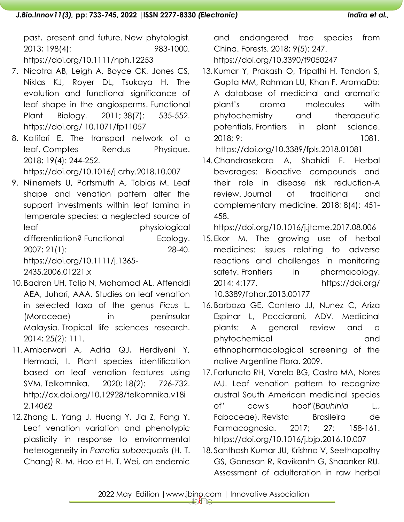past, present and future. New phytologist. 2013; 198(4): 983-1000. <https://doi.org/10.1111/nph.12253>

- 7. Nicotra AB, Leigh A, Boyce CK, Jones CS, Niklas KJ, Royer DL, Tsukaya H. The evolution and functional significance of leaf shape in the angiosperms. Functional Plant Biology. 2011; 38(7): 535-552. https://doi.org/ [10.1071/fp11057](http://dx.doi.org/10.1071/fp11057)
- 8. Katifori E. The transport network of a leaf. Comptes Rendus Physique. 2018; 19(4): 244-252.

https://doi.org/10.1016/j.crhy.2018.10.007

- 9. Niinemets U, Portsmuth A, Tobias M. Leaf shape and venation pattern alter the support investments within leaf lamina in temperate species: a neglected source of leaf physiological differentiation? Functional Ecology. 2007; 21(1): 28-40. [https://doi.org/10.1111/j.1365-](https://doi.org/10.1111/j.1365-2435.2006.01221.x) [2435.2006.01221.x](https://doi.org/10.1111/j.1365-2435.2006.01221.x)
- 10.Badron UH, Talip N, Mohamad AL, Affenddi AEA, Juhari, AAA. Studies on leaf venation in selected taxa of the genus *Ficus* L. (Moraceae) in peninsular Malaysia. Tropical life sciences research. 2014; 25(2): 111.
- 11.Ambarwari A, Adria QJ, Herdiyeni Y, Hermadi, I. Plant species identification based on leaf venation features using SVM. Telkomnika. 2020; 18(2): 726-732. [http://dx.doi.org/10.12928/telkomnika.v18i](http://dx.doi.org/10.12928/telkomnika.v18i2.14062) [2.14062](http://dx.doi.org/10.12928/telkomnika.v18i2.14062)
- 12. Zhang L, Yang J, Huang Y, Jia Z, Fang Y. Leaf venation variation and phenotypic plasticity in response to environmental heterogeneity in *Parrotia subaequalis* (H. T. Chang) R. M. Hao et H. T. Wei, an endemic

and endangered tree species from China. Forests. 2018; 9(5): 247. <https://doi.org/10.3390/f9050247>

- 13.Kumar Y, Prakash O, Tripathi H, Tandon S, Gupta MM, Rahman LU, Khan F. AromaDb: A database of medicinal and aromatic plant's aroma molecules with phytochemistry and therapeutic potentials. Frontiers in plant science. 2018; 9: 1081. <https://doi.org/10.3389/fpls.2018.01081>
- 14.Chandrasekara A, Shahidi F. Herbal beverages: Bioactive compounds and their role in disease risk reduction-A review. Journal of traditional and complementary medicine. 2018; 8(4): 451- 458.

<https://doi.org/10.1016/j.jtcme.2017.08.006>

- 15.Ekor M. The growing use of herbal medicines: issues relating to adverse reactions and challenges in monitoring safety. Frontiers in pharmacology. 2014; 4:177. https://doi.org/ [10.3389/fphar.2013.00177](https://doi.org/10.3389/fphar.2013.00177)
- 16.Barboza GE, Cantero JJ, Nunez C, Ariza Espinar L, Pacciaroni, ADV. Medicinal plants: A general review and a phytochemical and ethnopharmacological screening of the native Argentine Flora. 2009.
- 17. Fortunato RH, Varela BG, Castro MA, Nores MJ. Leaf venation pattern to recognize austral South American medicinal species of" cow's hoof"(*Bauhinia* L., Fabaceae). Revista Brasileira de Farmacognosia. 2017; 27: 158-161. <https://doi.org/10.1016/j.bjp.2016.10.007>
- 18. Santhosh Kumar JU, Krishna V, Seethapathy GS, Ganesan R, Ravikanth G, Shaanker RU. Assessment of adulteration in raw herbal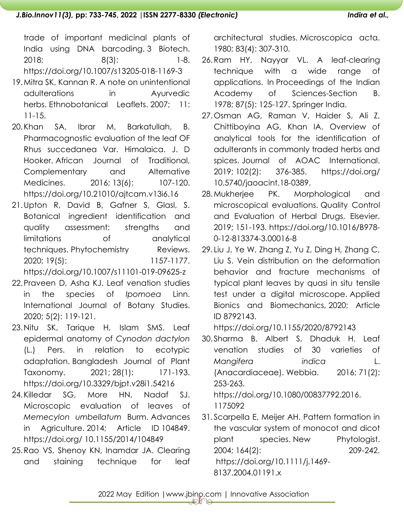trade of important medicinal plants of India using DNA barcoding. 3 Biotech. 2018; 8(3): 1-8. https://doi.org[/10.1007/s13205-018-1169-3](https://dx.doi.org/10.1007%2Fs13205-018-1169-3)

- 19.Mitra SK, Kannan R. A note on unintentional adulterations in Ayurvedic herbs. Ethnobotanical Leaflets. 2007; 11: 11-15.
- 20.Khan SA, Ibrar M, Barkatullah, B. Pharmacognostic evaluation of the leaf OF Rhus succedanea Var. Himalaica. J. D Hooker. African Journal of Traditional, Complementary and Alternative Medicines. 2016; 13(6): 107-120. https://doi.org[/10.21010/ajtcam.v13i6.16](https://dx.doi.org/10.21010%2Fajtcam.v13i6.16)
- 21.Upton R, David B, Gafner S, Glasl, S. Botanical ingredient identification and quality assessment: strengths and limitations of analytical techniques. Phytochemistry Reviews. 2020; 19(5): 1157-1177. https://doi.org/10.1007/s11101-019-09625-z
- 22.Praveen D, Asha KJ. Leaf venation studies in the species of *Ipomoea* Linn. International Journal of Botany Studies. 2020; 5(2): 119-121.
- 23.Nitu SK, Tarique H, Islam SMS. Leaf epidermal anatomy of *Cynodon dactylon* (L.) Pers. in relation to ecotypic adaptation. Bangladesh Journal of Plant Taxonomy. 2021; 28(1): 171-193. <https://doi.org/10.3329/bjpt.v28i1.54216>
- 24.Killedar SG, More HN, Nadaf SJ. Microscopic evaluation of leaves of *Memecylon umbellatum* Burm. Advances in Agriculture. 2014; Article ID 104849. [https://doi.org/ 10.1155/2014/104849](https://doi.org/%2010.1155/2014/104849)
- 25.Rao VS, Shenoy KN, Inamdar JA. Clearing and staining technique for leaf

architectural studies. Microscopica acta. 1980; 83(4): 307-310.

- 26.Ram HY, Nayyar VL. A leaf-clearing technique with a wide range of applications. In Proceedings of the Indian Academy of Sciences-Section B. 1978; 87(5): 125-127. Springer India.
- 27.Osman AG, Raman V, Haider S, Ali Z, Chittiboyina AG, Khan IA. Overview of analytical tools for the identification of adulterants in commonly traded herbs and spices. Journal of AOAC International. 2019; 102(2): 376-385. https://doi.org/ 10.5740/jaoacint.18-0389.
- 28.Mukherjee PK. Morphological and microscopical evaluations. Quality Control and Evaluation of Herbal Drugs, Elsevier. 2019; 151-193. https://doi.org[/10.1016/B978-](https://dx.doi.org/10.1016%2FB978-0-12-813374-3.00016-8) [0-12-813374-3.00016-8](https://dx.doi.org/10.1016%2FB978-0-12-813374-3.00016-8)
- 29. Liu J, Ye W, Zhang Z, Yu Z, Ding H, Zhang C, Liu S. Vein distribution on the deformation behavior and fracture mechanisms of typical plant leaves by quasi in situ tensile test under a digital microscope. Applied Bionics and Biomechanics, 2020; Article ID 8792143.

<https://doi.org/10.1155/2020/8792143>

- 30. Sharma B, Albert S, Dhaduk H. Leaf venation studies of 30 varieties of *Mangifera indica* L. (Anacardiaceae). Webbia. 2016; 71(2): 253-263. [https://doi.org/10.1080/00837792.2016.](https://doi.org/10.1080/00837792.2016.%201175092)  [1175092](https://doi.org/10.1080/00837792.2016.%201175092)
- 31. Scarpella E, Meijer AH. Pattern formation in the vascular system of monocot and dicot plant species. New Phytologist. 2004; 164(2): 209-242. [https://doi.org/10.1111/j.1469-](https://doi.org/10.1111/j.1469-8137.2004.01191.x) [8137.2004.01191.x](https://doi.org/10.1111/j.1469-8137.2004.01191.x)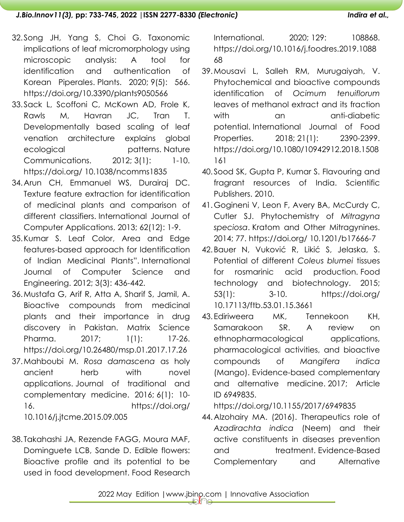- 32.Song JH, Yang S, Choi G. Taxonomic implications of leaf micromorphology using microscopic analysis: A tool for identification and authentication of Korean Piperales. Plants. 2020; 9(5): 566. <https://doi.org/10.3390/plants9050566>
- 33.Sack L, Scoffoni C, McKown AD, Frole K, Rawls M, Havran JC, Tran T. Developmentally based scaling of leaf venation architecture explains global ecological patterns. Nature Communications. 2012; 3(1): 1-10. https://doi.org/ [10.1038/ncomms1835](https://doi.org/10.1038/ncomms1835)
- 34.Arun CH, Emmanuel WS, Durairaj DC. Texture feature extraction for identification of medicinal plants and comparison of different classifiers. International Journal of Computer Applications. 2013; 62(12): 1-9.
- 35.Kumar S. Leaf Color, Area and Edge features-based approach for Identification of Indian Medicinal Plants". International Journal of Computer Science and Engineering. 2012; 3(3): 436-442.
- 36.Mustafa G, Arif R, Atta A, Sharif S, Jamil, A. Bioactive compounds from medicinal plants and their importance in drug discovery in Pakistan. Matrix Science Pharma. 2017; 1(1): 17-26. <https://doi.org/10.26480/msp.01.2017.17.26>
- 37.Mahboubi M. *Rosa damascena* as holy ancient herb with novel applications. Journal of traditional and complementary medicine. 2016; 6(1): 10- 16. https://doi.org/ [10.1016/j.jtcme.2015.09.005](https://doi.org/10.1016/j.jtcme.2015.09.005)
- 38. Takahashi JA, Rezende FAGG, Moura MAF, Dominguete LCB, Sande D. Edible flowers: Bioactive profile and its potential to be used in food development. Food Research

International. 2020; 129: 108868. [https://doi.org/10.1016/j.foodres.2019.1088](https://doi.org/10.1016/j.foodres.2019.108868) [68](https://doi.org/10.1016/j.foodres.2019.108868)

- 39.Mousavi L, Salleh RM, Murugaiyah, V. Phytochemical and bioactive compounds identification of *Ocimum tenuiflorum* leaves of methanol extract and its fraction with an anti-diabetic potential. International Journal of Food Properties. 2018; 21(1): 2390-2399. [https://doi.org/10.1080/10942912.2018.1508](https://doi.org/10.1080/10942912.2018.1508161) [161](https://doi.org/10.1080/10942912.2018.1508161)
- 40. Sood SK, Gupta P, Kumar S. Flavouring and fragrant resources of India. Scientific Publishers. 2010.
- 41.Gogineni V, Leon F, Avery BA, McCurdy C, Cutler SJ. Phytochemistry of *Mitragyna speciosa*. Kratom and Other Mitragynines. 2014; 77. https://doi.org/ [10.1201/b17666-7](http://dx.doi.org/10.1201/b17666-7)
- 42.Bauer N, Vuković R, Likić S, Jelaska, S. Potential of different *Coleus blumei* tissues for rosmarinic acid production. Food technology and biotechnology. 2015; 53(1): 3-10. https://doi.org/ [10.17113/ftb.53.01.15.3661](https://dx.doi.org/10.17113%2Fftb.53.01.15.3661)
- 43.Ediriweera MK, Tennekoon KH, Samarakoon SR. A review on ethnopharmacological applications, pharmacological activities, and bioactive compounds of *Mangifera indica* (Mango). Evidence-based complementary and alternative medicine. 2017; Article ID 6949835.

<https://doi.org/10.1155/2017/6949835>

44.Alzohairy MA. (2016). Therapeutics role of *Azadirachta indica* (Neem) and their active constituents in diseases prevention and treatment. Evidence-Based Complementary and Alternative